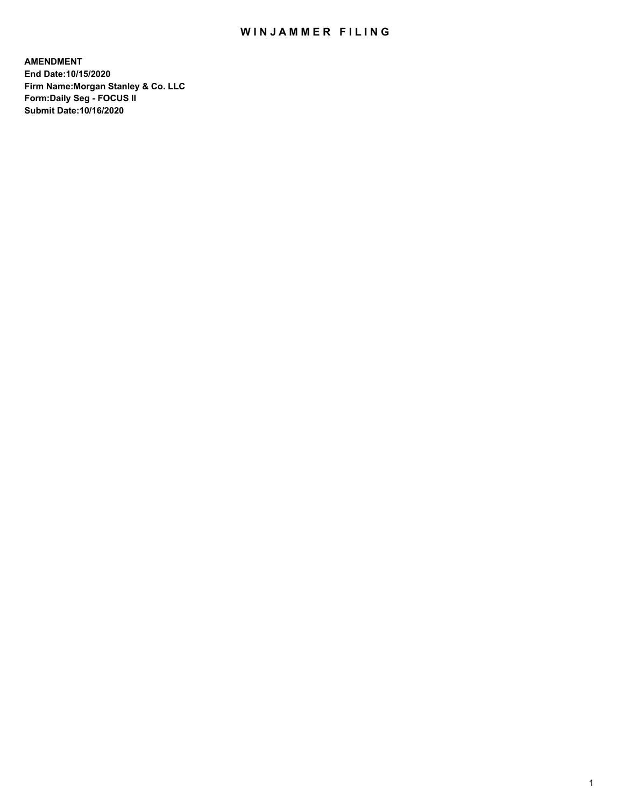## WIN JAMMER FILING

**AMENDMENT End Date:10/15/2020 Firm Name:Morgan Stanley & Co. LLC Form:Daily Seg - FOCUS II Submit Date:10/16/2020**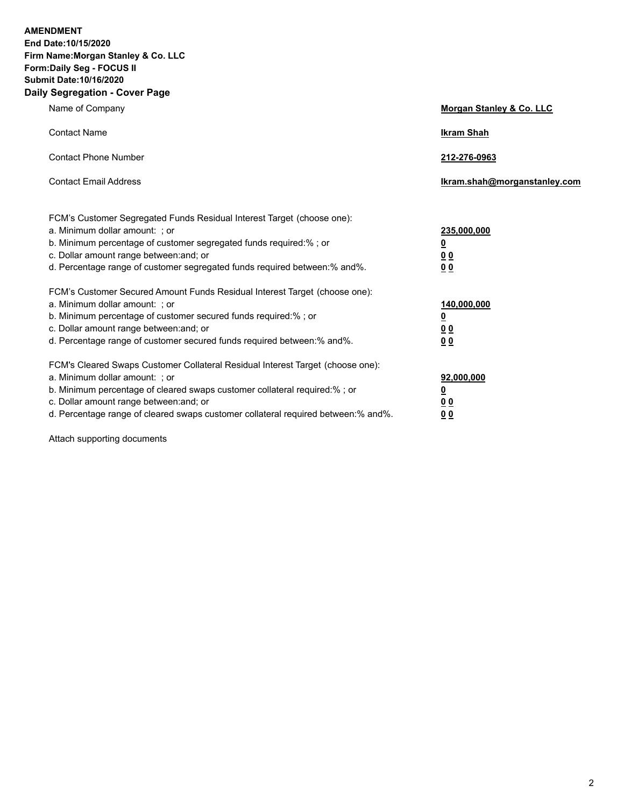**AMENDMENT End Date:10/15/2020 Firm Name:Morgan Stanley & Co. LLC Form:Daily Seg - FOCUS II Submit Date:10/16/2020 Daily Segregation - Cover Page**

| Name of Company                                                                                                                                                                                                                                                                                                                | Morgan Stanley & Co. LLC                                 |
|--------------------------------------------------------------------------------------------------------------------------------------------------------------------------------------------------------------------------------------------------------------------------------------------------------------------------------|----------------------------------------------------------|
| <b>Contact Name</b>                                                                                                                                                                                                                                                                                                            | <b>Ikram Shah</b>                                        |
| <b>Contact Phone Number</b>                                                                                                                                                                                                                                                                                                    | 212-276-0963                                             |
| <b>Contact Email Address</b>                                                                                                                                                                                                                                                                                                   | Ikram.shah@morganstanley.com                             |
| FCM's Customer Segregated Funds Residual Interest Target (choose one):<br>a. Minimum dollar amount: ; or<br>b. Minimum percentage of customer segregated funds required:%; or<br>c. Dollar amount range between: and; or<br>d. Percentage range of customer segregated funds required between: % and %.                        | 235,000,000<br><u>0</u><br><u>00</u><br>00               |
| FCM's Customer Secured Amount Funds Residual Interest Target (choose one):<br>a. Minimum dollar amount: ; or<br>b. Minimum percentage of customer secured funds required:%; or<br>c. Dollar amount range between: and; or<br>d. Percentage range of customer secured funds required between:% and%.                            | 140,000,000<br><u>0</u><br><u>00</u><br>0 <sup>0</sup>   |
| FCM's Cleared Swaps Customer Collateral Residual Interest Target (choose one):<br>a. Minimum dollar amount: ; or<br>b. Minimum percentage of cleared swaps customer collateral required:% ; or<br>c. Dollar amount range between: and; or<br>d. Percentage range of cleared swaps customer collateral required between:% and%. | 92,000,000<br>$\overline{\mathbf{0}}$<br><u>00</u><br>00 |

Attach supporting documents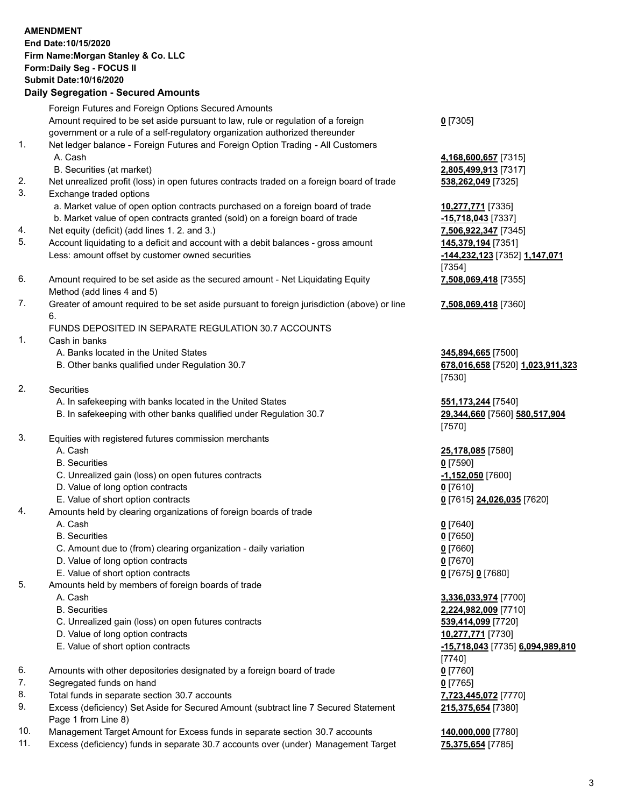#### **AMENDMENT End Date:10/15/2020 Firm Name:Morgan Stanley & Co. LLC Form:Daily Seg - FOCUS II Submit Date:10/16/2020 Daily Segregation - Secured Amounts** Foreign Futures and Foreign Options Secured Amounts Amount required to be set aside pursuant to law, rule or regulation of a foreign government or a rule of a self-regulatory organization authorized thereunder **0** [7305] 1. Net ledger balance - Foreign Futures and Foreign Option Trading - All Customers A. Cash **4,168,600,657** [7315] B. Securities (at market) **2,805,499,913** [7317] 2. Net unrealized profit (loss) in open futures contracts traded on a foreign board of trade **538,262,049** [7325] 3. Exchange traded options a. Market value of open option contracts purchased on a foreign board of trade **10,277,771** [7335] b. Market value of open contracts granted (sold) on a foreign board of trade **-15,718,043** [7337] 4. Net equity (deficit) (add lines 1. 2. and 3.) **7,506,922,347** [7345] 5. Account liquidating to a deficit and account with a debit balances - gross amount **145,379,194** [7351] Less: amount offset by customer owned securities **-144,232,123** [7352] **1,147,071** [7354] 6. Amount required to be set aside as the secured amount - Net Liquidating Equity Method (add lines 4 and 5) **7,508,069,418** [7355] 7. Greater of amount required to be set aside pursuant to foreign jurisdiction (above) or line 6. **7,508,069,418** [7360] FUNDS DEPOSITED IN SEPARATE REGULATION 30.7 ACCOUNTS 1. Cash in banks A. Banks located in the United States **345,894,665** [7500] B. Other banks qualified under Regulation 30.7 **678,016,658** [7520] **1,023,911,323** [7530] 2. Securities A. In safekeeping with banks located in the United States **551,173,244** [7540] B. In safekeeping with other banks qualified under Regulation 30.7 **29,344,660** [7560] **580,517,904** [7570] 3. Equities with registered futures commission merchants A. Cash **25,178,085** [7580] B. Securities **0** [7590] C. Unrealized gain (loss) on open futures contracts **-1,152,050** [7600] D. Value of long option contracts **0** [7610] E. Value of short option contracts **0** [7615] **24,026,035** [7620] 4. Amounts held by clearing organizations of foreign boards of trade A. Cash **0** [7640] B. Securities **0** [7650] C. Amount due to (from) clearing organization - daily variation **0** [7660] D. Value of long option contracts **0** [7670] E. Value of short option contracts **0** [7675] **0** [7680] 5. Amounts held by members of foreign boards of trade A. Cash **3,336,033,974** [7700] B. Securities **2,224,982,009** [7710] C. Unrealized gain (loss) on open futures contracts **539,414,099** [7720] D. Value of long option contracts **10,277,771** [7730] E. Value of short option contracts **-15,718,043** [7735] **6,094,989,810**

- 6. Amounts with other depositories designated by a foreign board of trade **0** [7760]
- 7. Segregated funds on hand **0** [7765]
- 8. Total funds in separate section 30.7 accounts **7,723,445,072** [7770]
- 9. Excess (deficiency) Set Aside for Secured Amount (subtract line 7 Secured Statement Page 1 from Line 8)
- 10. Management Target Amount for Excess funds in separate section 30.7 accounts **140,000,000** [7780]
- 11. Excess (deficiency) funds in separate 30.7 accounts over (under) Management Target **75,375,654** [7785]

**215,375,654** [7380]

[7740]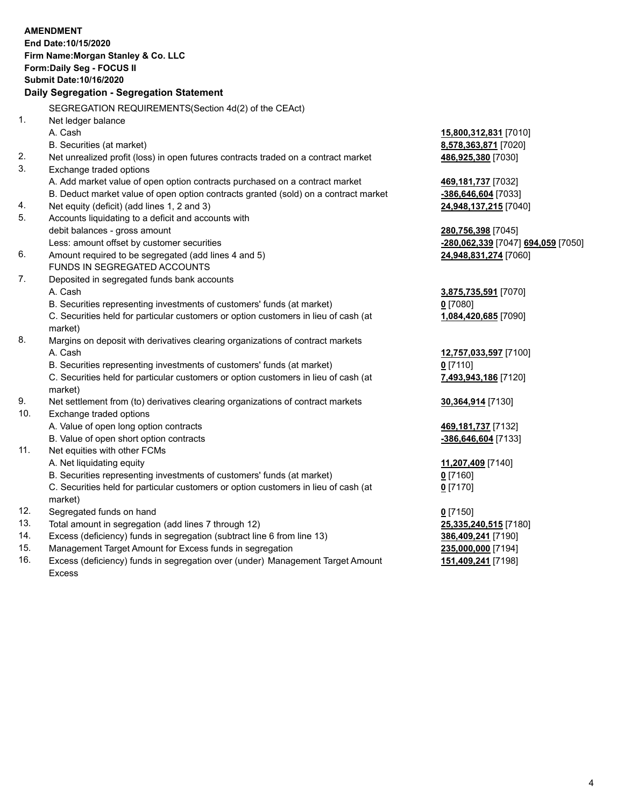## **AMENDMENT**

**End Date:10/15/2020 Firm Name:Morgan Stanley & Co. LLC Form:Daily Seg - FOCUS II Submit Date:10/16/2020**

#### **Daily Segregation - Segregation Statement**

SEGREGATION REQUIREMENTS(Section 4d(2) of the CEAct)

- 1. Net ledger balance
	-
	- B. Securities (at market) **8,578,363,871** [7020]
- 2. Net unrealized profit (loss) in open futures contracts traded on a contract market **486,925,380** [7030]
- 3. Exchange traded options
	- A. Add market value of open option contracts purchased on a contract market **469,181,737** [7032]
	- B. Deduct market value of open option contracts granted (sold) on a contract market **-386,646,604** [7033]
- 4. Net equity (deficit) (add lines 1, 2 and 3) **24,948,137,215** [7040]
- 5. Accounts liquidating to a deficit and accounts with debit balances - gross amount **280,756,398** [7045]
	-
- 6. Amount required to be segregated (add lines 4 and 5) **24,948,831,274** [7060] FUNDS IN SEGREGATED ACCOUNTS
- 7. Deposited in segregated funds bank accounts A. Cash **3,875,735,591** [7070]
	- B. Securities representing investments of customers' funds (at market) **0** [7080]

C. Securities held for particular customers or option customers in lieu of cash (at market)

- 8. Margins on deposit with derivatives clearing organizations of contract markets A. Cash **12,757,033,597** [7100]
	- B. Securities representing investments of customers' funds (at market) **0** [7110]

C. Securities held for particular customers or option customers in lieu of cash (at market)

- 9. Net settlement from (to) derivatives clearing organizations of contract markets **30,364,914** [7130]
- 10. Exchange traded options
	- A. Value of open long option contracts **469,181,737** [7132]
	- B. Value of open short option contracts **-386,646,604** [7133]
- 11. Net equities with other FCMs
	- A. Net liquidating equity **11,207,409** [7140]
	- B. Securities representing investments of customers' funds (at market) **0** [7160]

C. Securities held for particular customers or option customers in lieu of cash (at market)

- 12. Segregated funds on hand **0** [7150]
- 13. Total amount in segregation (add lines 7 through 12) **25,335,240,515** [7180]
- 14. Excess (deficiency) funds in segregation (subtract line 6 from line 13) **386,409,241** [7190]
- 15. Management Target Amount for Excess funds in segregation **235,000,000** [7194]
- 16. Excess (deficiency) funds in segregation over (under) Management Target Amount Excess

# A. Cash **15,800,312,831** [7010]

Less: amount offset by customer securities **-280,062,339** [7047] **694,059** [7050]

**1,084,420,685** [7090]

**7,493,943,186** [7120]

**0** [7170]

**151,409,241** [7198]